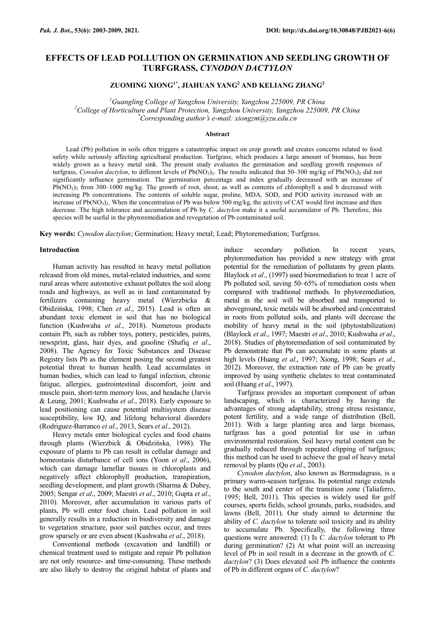# **EFFECTS OF LEAD POLLUTION ON GERMINATION AND SEEDLING GROWTH OF TURFGRASS,** *CYNODON DACTYLON*

**ZUOMING XIONG1\* , JIAHUAN YANG<sup>2</sup> AND KELIANG ZHANG<sup>2</sup>**

*<sup>1</sup>Guangling College of Yangzhou University, Yangzhou 225009, PR China <sup>2</sup>College of Horticulture and Plant Protection, Yangzhou University, Yangzhou 225009, PR China \*Corresponding author's e-mail: [xiongzm@yzu.edu.cn](mailto:xiongzm@yzu.edu.cn)*

#### **Abstract**

Lead (Pb) pollution in soils often triggers a catastrophic impact on crop growth and creates concerns related to food safety while seriously affecting agricultural production. Turfgrass, which produces a large amount of biomass, has been widely grown as a heavy metal sink. The present study evaluates the germination and seedling growth responses of turfgrass, Cynodon dactylon, to different levels of Pb(NO<sub>3</sub>)<sub>2</sub>. The results indicated that 50–300 mg/kg of Pb(NO<sub>3</sub>)<sub>2</sub> did not significantly influence germination. The germination percentage and index gradually decreased with an increase of  $Pb(NO<sub>3</sub>)<sub>2</sub>$  from 300–1000 mg/kg. The growth of root, shoot, as well as contents of chlorophyll a and b decreased with increasing Pb concentrations. The contents of soluble sugar, proline, MDA, SOD, and POD activity increased with an increase of  $Pb(NO<sub>3</sub>)<sub>2</sub>$ . When the concentration of Pb was below 500 mg/kg, the activity of CAT would first increase and then decrease. The high tolerance and accumulation of Pb by *C. dactylon* make it a useful accumulator of Pb. Therefore, this species will be useful in the phytoremediation and revegetation of Pb contaminated soil.

**Key words:** *Cynodon dactylon*; Germination; Heavy metal; Lead; Phytoremediation; Turfgrass.

#### **Introduction**

Human activity has resulted in heavy metal pollution released from old mines, metal-related industries, and some rural areas where automotive exhaust pollutes the soil along roads and highways, as well as in land contaminated by fertilizers containing heavy metal (Wierzbicka & Obidzińska, 1998; Chen *et al*., 2015). Lead is often an abundant toxic element in soil that has no biological function (Kushwaha *et al*., 2018). Numerous products contain Pb, such as rubber toys, pottery, pesticides, paints, newsprint, glass, hair dyes, and gasoline (Shafiq *et al*., 2008). The Agency for Toxic Substances and Disease Registry lists Pb as the element posing the second greatest potential threat to human health. Lead accumulates in human bodies, which can lead to fungal infection, chronic fatigue, allergies, gastrointestinal discomfort, joint and muscle pain, short-term memory loss, and headache (Jarvis & Leung, 2001; Kushwaha *et al*., 2018). Early exposure to lead positioning can cause potential multisystem disease susceptibility, low IQ, and lifelong behavioral disorders (Rodriguez-Barranco *et al*., 2013, Sears *et al*., 2012).

Heavy metals enter biological cycles and food chains through plants (Wierzbick & Obidzińska, 1998). The exposure of plants to Pb can result in cellular damage and homeostasis disturbance of cell ions (Yoon *et al*., 2006), which can damage lamellar tissues in chloroplasts and negatively affect chlorophyll production, transpiration, seedling development, and plant growth (Sharma & Dubey, 2005; Sengar *et al*., 2009; Maestri *et al*., 2010; Gupta *et al*., 2010). Moreover, after accumulation in various parts of plants, Pb will enter food chain. Lead pollution in soil generally results in a reduction in biodiversity and damage to vegetation structure, poor soil patches occur, and trees grow sparsely or are even absent (Kushwaha *et al*., 2018).

Conventional methods (excavation and landfill) or chemical treatment used to mitigate and repair Pb pollution are not only resource- and time-consuming. These methods are also likely to destroy the original habitat of plants and induce secondary pollution. In recent years, phytoremediation has provided a new strategy with great potential for the remediation of pollutants by green plants. Blaylock *et al*., (1997) used bioremediation to treat 1 acre of Pb polluted soil, saving 50–65% of remediation costs when compared with traditional methods. In phytoremediation, metal in the soil will be absorbed and transported to aboveground, toxic metals will be absorbed and concentrated in roots from polluted soils, and plants will decrease the mobility of heavy metal in the soil (phytostabilization) (Blaylock *et al*., 1997; Maestri *et al*., 2010; Kushwaha *et al*., 2018). Studies of phytoremediation of soil contaminated by Pb demonstrate that Pb can accumulate in some plants at high levels (Huang *et al*., 1997; Xiong, 1998; Sears *et al*., 2012). Moreover, the extraction rate of Pb can be greatly improved by using synthetic chelates to treat contaminated soil (Huang *et al*., 1997).

Turfgrass provides an important component of urban landscaping, which is characterized by having the advantages of strong adaptability, strong stress resistance, potent fertility, and a wide range of distribution (Bell, 2011). With a large planting area and large biomass, turfgrass has a good potential for use in urban environmental restoration. Soil heavy metal content can be gradually reduced through repeated clipping of turfgrass; this method can be used to achieve the goal of heavy metal removal by plants (Qu *et al*., 2003).

*Cynodon dactylon*, also known as Bermudagrass, is a primary warm-season turfgrass. Its potential range extends to the south and center of the transition zone (Taliaferro, 1995; Bell, 2011). This species is widely used for golf courses, sports fields, school grounds, parks, roadsides, and lawns (Bell, 2011). Our study aimed to determine the ability of *C. dactylon* to tolerate soil toxicity and its ability to accumulate Pb. Specifically, the following three questions were answered: (1) Is *C. dactylon* tolerant to Pb during germination? (2) At what point will an increasing level of Pb in soil result in a decrease in the growth of *C. dactylon*? (3) Does elevated soil Pb influence the contents of Pb in different organs of *C. dactylon*?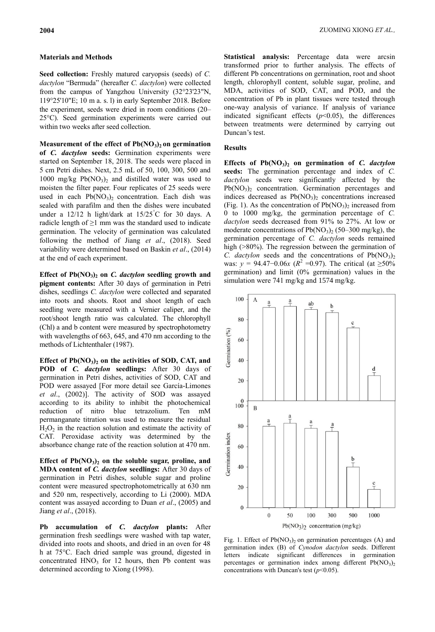# **Materials and Methods**

**Seed collection:** Freshly matured caryopsis (seeds) of *C.*  dactylon "Bermuda" (hereafter *C. dactylon*) were collected from the campus of Yangzhou University (32°23'23"N, 119°25'10"E; 10 m a. s. l) in early September 2018. Before the experiment, seeds were dried in room conditions (20– 25°C). Seed germination experiments were carried out within two weeks after seed collection.

**Measurement of the effect of Pb(NO3)2 on germination of** *C. dactylon* **seeds:** Germination experiments were started on September 18, 2018. The seeds were placed in 5 cm Petri dishes. Next, 2.5 mL of 50, 100, 300, 500 and 1000 mg/kg  $Pb(NO<sub>3</sub>)<sub>2</sub>$  and distilled water was used to moisten the filter paper. Four replicates of 25 seeds were used in each  $Pb(NO<sub>3</sub>)<sub>2</sub>$  concentration. Each dish was sealed with parafilm and then the dishes were incubated under a 12/12 h light/dark at 15/25°C for 30 days. A radicle length of  $\geq$ 1 mm was the standard used to indicate germination. The velocity of germination was calculated following the method of Jiang *et al*., (2018). Seed variability were determined based on Baskin *et al*., (2014) at the end of each experiment.

**Effect of Pb** $(NO<sub>3</sub>)<sub>2</sub>$  on *C. dactylon* seedling growth and **pigment contents:** After 30 days of germination in Petri dishes, seedlings *C. dactylon* were collected and separated into roots and shoots. Root and shoot length of each seedling were measured with a Vernier caliper, and the root/shoot length ratio was calculated. The chlorophyll (Chl) a and b content were measured by spectrophotometry with wavelengths of 663, 645, and 470 nm according to the methods of Lichtenthaler (1987).

**Effect of Pb(NO3)<sup>2</sup> on the activities of SOD, CAT, and POD of** *C. dactylon* **seedlings:** After 30 days of germination in Petri dishes, activities of SOD, CAT and POD were assayed [For more detail see [García-Limones](https://onlinelibrary.wiley.com/doi/full/10.1111/j.1744-7909.2008.00769.x#b12) *et al*., [\(2002\)\]](https://onlinelibrary.wiley.com/doi/full/10.1111/j.1744-7909.2008.00769.x#b12). The activity of SOD was assayed according to its ability to inhibit the photochemical reduction of nitro blue tetrazolium. Ten mM permanganate titration was used to measure the residual  $H<sub>2</sub>O<sub>2</sub>$  in the reaction solution and estimate the activity of CAT. Peroxidase activity was determined by the absorbance change rate of the reaction solution at 470 nm.

**Effect of Pb(NO3)<sup>2</sup> on the soluble sugar, proline, and MDA content of** *C. dactylon* **seedlings:** After 30 days of germination in Petri dishes, soluble sugar and proline content were measured spectrophotometrically at 630 nm and 520 nm, respectively, according to Li (2000). MDA content was assayed according to Duan *et al*., (2005) and Jiang *et al*., (2018).

**Pb accumulation of** *C. dactylon* **plants:** After germination fresh seedlings were washed with tap water, divided into roots and shoots, and dried in an oven for 48 h at 75°C. Each dried sample was ground, digested in concentrated  $HNO<sub>3</sub>$  for 12 hours, then Pb content was determined according to Xiong (1998).

**Statistical analysis:** Percentage data were arcsin transformed prior to further analysis. The effects of different Pb concentrations on germination, root and shoot length, chlorophyll content, soluble sugar, proline, and MDA, activities of SOD, CAT, and POD, and the concentration of Pb in plant tissues were tested through one-way analysis of variance. If analysis of variance indicated significant effects  $(p<0.05)$ , the differences between treatments were determined by carrying out Duncan's test.

# **Results**

**Effects of Pb(NO3)<sup>2</sup> on germination of** *C. dactylon* **seeds:** The germination percentage and index of *C. dactylon* seeds were significantly affected by the  $Pb(NO<sub>3</sub>)<sub>2</sub>$  concentration. Germination percentages and indices decreased as  $Pb(NO<sub>3</sub>)<sub>2</sub>$  concentrations increased (Fig. 1). As the concentration of  $Pb(NO<sub>3</sub>)<sub>2</sub>$  increased from 0 to 1000 mg/kg, the germination percentage of *C. dactylon* seeds decreased from 91% to 27%. At low or moderate concentrations of  $Pb(NO<sub>3</sub>)<sub>2</sub>$  (50–300 mg/kg), the germination percentage of *C. dactylon* seeds remained high (>80%). The regression between the germination of *C. dactylon* seeds and the concentrations of  $Pb(NO<sub>3</sub>)<sub>2</sub>$ was:  $y = 94.47 - 0.06x$  ( $R^2 = 0.97$ ). The critical (at ≥50%) germination) and limit (0% germination) values in the simulation were 741 mg/kg and 1574 mg/kg.



Fig. 1. Effect of  $Pb(NO<sub>3</sub>)<sub>2</sub>$  on germination percentages (A) and germination index (B) of *Cynodon dactylon* seeds. Different letters indicate significant differences in germination percentages or germination index among different  $Pb(NO<sub>3</sub>)<sub>2</sub>$ concentrations with Duncan's test  $(p<0.05)$ .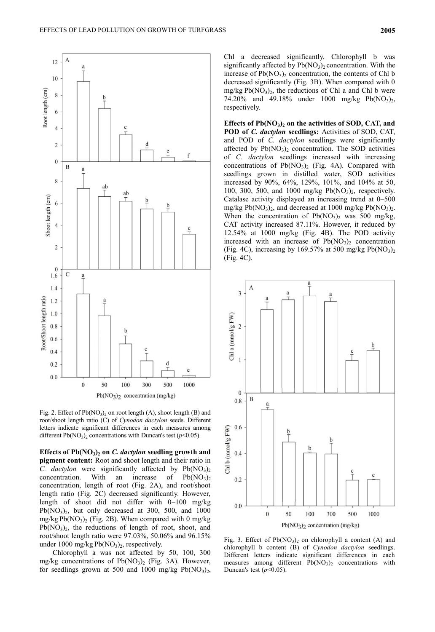

Fig. 2. Effect of Pb(NO<sub>3</sub>)<sub>2</sub> on root length (A), shoot length (B) and root/shoot length ratio (C) of *Cynodon dactylon* seeds. Different letters indicate significant differences in each measures among different  $Pb(NO<sub>3</sub>)<sub>2</sub>$  concentrations with Duncan's test ( $p<0.05$ ).

**Effects of Pb(NO3)<sup>2</sup> on** *C. dactylon* **seedling growth and pigment content:** Root and shoot length and their ratio in *C. dactylon* were significantly affected by  $Pb(NO<sub>3</sub>)<sub>2</sub>$ concentration. With an increase of  $Pb(NO<sub>3</sub>)<sub>2</sub>$ concentration, length of root (Fig. 2A), and root/shoot length ratio (Fig. 2C) decreased significantly. However, length of shoot did not differ with 0–100 mg/kg  $Pb(NO<sub>3</sub>)<sub>2</sub>$ , but only decreased at 300, 500, and 1000 mg/kg  $Pb(NO<sub>3</sub>)<sub>2</sub>$  (Fig. 2B). When compared with 0 mg/kg  $Pb(NO<sub>3</sub>)<sub>2</sub>$ , the reductions of length of root, shoot, and root/shoot length ratio were 97.03%, 50.06% and 96.15% under 1000 mg/kg  $Pb(NO<sub>3</sub>)<sub>2</sub>$ , respectively.

Chlorophyll a was not affected by 50, 100, 300 mg/kg concentrations of  $Pb(NO<sub>3</sub>)<sub>2</sub>$  (Fig. 3A). However, for seedlings grown at 500 and 1000 mg/kg  $Pb(NO<sub>3</sub>)<sub>2</sub>$ , Chl a decreased significantly. Chlorophyll b was significantly affected by  $Pb(NO_3)$  concentration. With the increase of  $Pb(NO<sub>3</sub>)<sub>2</sub>$  concentration, the contents of Chl b decreased significantly (Fig. 3B). When compared with 0  $mg/kg Pb(NO<sub>3</sub>)<sub>2</sub>$ , the reductions of Chl a and Chl b were 74.20% and 49.18% under 1000 mg/kg  $Pb(NO_3)_2$ , respectively.

**Effects of Pb(NO3)<sup>2</sup> on the activities of SOD, CAT, and POD of** *C. dactylon* **seedlings:** Activities of SOD, CAT, and POD of *C. dactylon* seedlings were significantly affected by  $Pb(NO<sub>3</sub>)<sub>2</sub>$  concentration. The SOD activities of *C. dactylon* seedlings increased with increasing concentrations of  $Pb(NO<sub>3</sub>)<sub>2</sub>$  (Fig. 4A). Compared with seedlings grown in distilled water, SOD activities increased by 90%, 64%, 129%, 101%, and 104% at 50, 100, 300, 500, and 1000 mg/kg  $Pb(NO<sub>3</sub>)<sub>2</sub>$ , respectively. Catalase activity displayed an increasing trend at 0–500 mg/kg Pb( $NO_3$ )<sub>2</sub>, and decreased at 1000 mg/kg Pb( $NO_3$ )<sub>2</sub>. When the concentration of  $Pb(NO<sub>3</sub>)<sub>2</sub>$  was 500 mg/kg, CAT activity increased 87.11%. However, it reduced by 12.54% at 1000 mg/kg (Fig. 4B). The POD activity increased with an increase of  $Pb(NO<sub>3</sub>)<sub>2</sub>$  concentration (Fig. 4C), increasing by 169.57% at 500 mg/kg  $Pb(NO<sub>3</sub>)<sub>2</sub>$ (Fig. 4C).



Fig. 3. Effect of  $Pb(NO<sub>3</sub>)<sub>2</sub>$  on chlorophyll a content (A) and chlorophyll b content (B) of *Cynodon dactylon* seedlings. Different letters indicate significant differences in each measures among different  $Pb(NO<sub>3</sub>)<sub>2</sub>$  concentrations with Duncan's test  $(p<0.05)$ .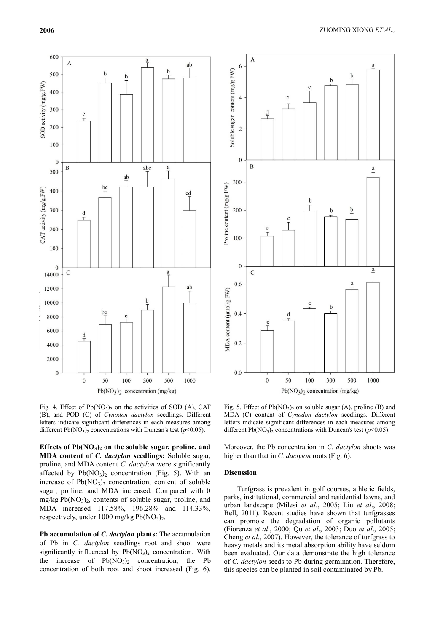

Fig. 4. Effect of  $Pb(NO<sub>3</sub>)<sub>2</sub>$  on the activities of SOD (A), CAT (B), and POD (C) of *Cynodon dactylon* seedlings. Different letters indicate significant differences in each measures among different  $Pb(NO<sub>3</sub>)<sub>2</sub>$  concentrations with Duncan's test ( $p<0.05$ ).

**Effects of Pb(NO3)<sup>2</sup> on the soluble sugar, proline, and MDA content of** *C. dactylon* **seedlings:** Soluble sugar, proline, and MDA content *C. dactylon* were significantly affected by  $Pb(NO<sub>3</sub>)<sub>2</sub>$  concentration (Fig. 5). With an increase of  $Pb(NO<sub>3</sub>)<sub>2</sub>$  concentration, content of soluble sugar, proline, and MDA increased. Compared with 0  $mg/kg Pb(NO<sub>3</sub>)<sub>2</sub>$ , contents of soluble sugar, proline, and MDA increased 117.58%, 196.28% and 114.33%, respectively, under 1000 mg/kg  $Pb(NO<sub>3</sub>)<sub>2</sub>$ .

**Pb accumulation of** *C. dactylon* **plants:** The accumulation of Pb in *C. dactylon* seedlings root and shoot were significantly influenced by  $Pb(NO_3)$  concentration. With the increase of  $Pb(NO<sub>3</sub>)<sub>2</sub>$  concentration, the Pb concentration of both root and shoot increased (Fig. 6).



Fig. 5. Effect of  $Pb(NO<sub>3</sub>)<sub>2</sub>$  on soluble sugar (A), proline (B) and MDA (C) content of *Cynodon dactylon* seedlings. Different letters indicate significant differences in each measures among different  $Pb(NO<sub>3</sub>)<sub>2</sub>$  concentrations with Duncan's test ( $p<0.05$ ).

Moreover, the Pb concentration in *C. dactylon* shoots was higher than that in *C. dactylon* roots (Fig. 6).

# **Discussion**

Turfgrass is prevalent in golf courses, athletic fields, parks, institutional, commercial and residential lawns, and urban landscape (Milesi *et al*., 2005; Liu *et al*., 2008; Bell, 2011). Recent studies have shown that turfgrasses can promote the degradation of organic pollutants (Fiorenza *et al*., 2000; Qu *et al*., 2003; Duo *et al*., 2005; Cheng *et al*., 2007). However, the tolerance of turfgrass to heavy metals and its metal absorption ability have seldom been evaluated. Our data demonstrate the high tolerance of *C. dactylon* seeds to Pb during germination. Therefore, this species can be planted in soil contaminated by Pb.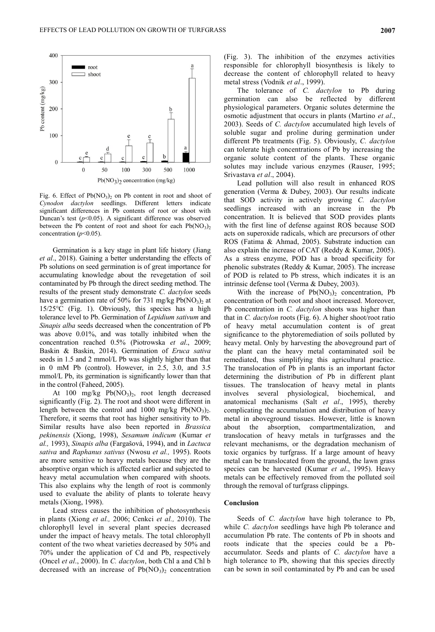

Fig. 6. Effect of  $Pb(NO<sub>3</sub>)<sub>2</sub>$  on Pb content in root and shoot of *Cynodon dactylon* seedlings. Different letters indicate significant differences in Pb contents of root or shoot with Duncan's test (*p*<0.05). A significant difference was observed between the Pb content of root and shoot for each  $Pb(NO<sub>3</sub>)<sub>2</sub>$ concentration  $(p<0.05)$ .

Germination is a key stage in plant life history (Jiang *et al*., 2018). Gaining a better understanding the effects of Pb solutions on seed germination is of great importance for accumulating knowledge about the revegetation of soil contaminated by Pb through the direct seeding method. The results of the present study demonstrate *C. dactylon* seeds have a germination rate of 50% for 731 mg/kg  $Pb(NO<sub>3</sub>)<sub>2</sub>$  at 15/25°C (Fig. 1). Obviously, this species has a high tolerance level to Pb. Germination of *Lepidium sativum* and *Sinapis alba* seeds decreased when the concentration of Pb was above 0.01%, and was totally inhibited when the concentration reached 0.5% (Piotrowska *et al*., 2009; Baskin & Baskin, 2014). Germination of *Eruca sativa* seeds in 1.5 and 2 mmol/L Pb was slightly higher than that in 0 mM Pb (control). However, in 2.5, 3.0, and 3.5 mmol/L Pb, its germination is significantly lower than that in the control (Faheed, 2005).

At 100 mg/kg  $Pb(NO<sub>3</sub>)<sub>2</sub>$ , root length decreased significantly (Fig. 2). The root and shoot were different in length between the control and 1000 mg/kg  $Pb(NO<sub>3</sub>)<sub>2</sub>$ . Therefore, it seems that root has higher sensitivity to Pb. Similar results have also been reported in *Brassica pekinensis* (Xiong, 1998), *Sesamum indicum* (Kumar *et al.,* 1993), *Sinapis alba* (Fargašová, 1994), and in *Lactuca sativa* and *Raphanus sativus* (Nwosu *et al.,* 1995). Roots are more sensitive to heavy metals because they are the absorptive organ which is affected earlier and subjected to heavy metal accumulation when compared with shoots. This also explains why the length of root is commonly used to evaluate the ability of plants to tolerate heavy metals (Xiong, 1998).

Lead stress causes the inhibition of photosynthesis in plants (Xiong *et al.,* 2006; Cenkci *et al.,* 2010). The chlorophyll level in several plant species decreased under the impact of heavy metals. The total chlorophyll content of the two wheat varieties decreased by 50% and 70% under the application of Cd and Pb, respectively (Oncel *et al*., 2000). In *C. dactylon*, both Chl a and Chl b decreased with an increase of  $Pb(NO<sub>3</sub>)<sub>2</sub>$  concentration

(Fig. 3). The inhibition of the enzymes activities responsible for chlorophyll biosynthesis is likely to decrease the content of chlorophyll related to heavy metal stress (Vodnik *et al*., 1999).

The tolerance of *C. dactylon* to Pb during germination can also be reflected by different physiological parameters. Organic solutes determine the osmotic adjustment that occurs in plants (Martino *et al*., 2003). Seeds of *C. dactylon* accumulated high levels of soluble sugar and proline during germination under different Pb treatments (Fig. 5). Obviously, *C. dactylon* can tolerate high concentrations of Pb by increasing the organic solute content of the plants. These organic solutes may include various enzymes (Rauser, 1995; Srivastava *et al*., 2004).

Lead pollution will also result in enhanced ROS generation (Verma & Dubey, 2003). Our results indicate that SOD activity in actively growing *C. dactylon* seedlings increased with an increase in the Pb concentration. It is believed that SOD provides plants with the first line of defense against ROS because SOD acts on superoxide radicals, which are precursors of other ROS (Fatima & Ahmad, 2005). Substrate induction can also explain the increase of CAT (Reddy & Kumar, 2005). As a stress enzyme, POD has a broad specificity for phenolic substrates (Reddy & Kumar, 2005). The increase of POD is related to Pb stress, which indicates it is an intrinsic defense tool (Verma & Dubey, 2003).

With the increase of  $Pb(NO<sub>3</sub>)<sub>2</sub>$  concentration, Pb concentration of both root and shoot increased. Moreover, Pb concentration in *C. dactylon* shoots was higher than that in *C. dactylon* roots (Fig. 6). A higher shoot/root ratio of heavy metal accumulation content is of great significance to the phytoremediation of soils polluted by heavy metal. Only by harvesting the aboveground part of the plant can the heavy metal contaminated soil be remediated, thus simplifying this agricultural practice. The translocation of Pb in plants is an important factor determining the distribution of Pb in different plant tissues. The translocation of heavy metal in plants involves several physiological, biochemical, and anatomical mechanisms (Salt *et al*., 1995), thereby complicating the accumulation and distribution of heavy metal in aboveground tissues. However, little is known about the absorption, compartmentalization, and translocation of heavy metals in turfgrasses and the relevant mechanisms, or the degradation mechanism of toxic organics by turfgrass. If a large amount of heavy metal can be translocated from the ground, the lawn grass species can be harvested (Kumar *et al*., 1995). Heavy metals can be effectively removed from the polluted soil through the removal of turfgrass clippings.

### **Conclusion**

Seeds of *C. dactylon* have high tolerance to Pb, while *C. dactylon* seedlings have high Pb tolerance and accumulation Pb rate. The contents of Pb in shoots and roots indicate that the species could be a Pbaccumulator. Seeds and plants of *C. dactylon* have a high tolerance to Pb, showing that this species directly can be sown in soil contaminated by Pb and can be used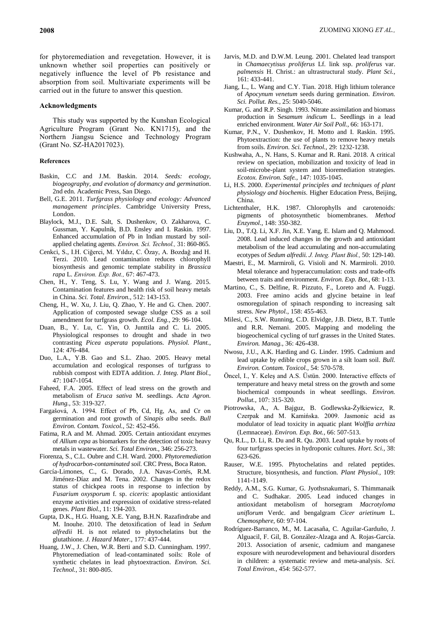for phytoremediation and revegetation. However, it is unknown whether soil properties can positively or negatively influence the level of Pb resistance and absorption from soil. Multivariate experiments will be carried out in the future to answer this question.

# **Acknowledgments**

This study was supported by the Kunshan Ecological Agriculture Program (Grant No. KN1715), and the Northern Jiangsu Science and Technology Program (Grant No. SZ-HA2017023).

### **References**

- Baskin, C.C and J.M. Baskin. 2014. *Seeds: ecology, biogeography, and evolution of dormancy and germination*. 2nd edn. Academic Press, San Diego.
- Bell, G.E. 2011. *Turfgrass physiology and ecology: Advanced management principles*. Cambridge University Press, London.
- Blaylock, M.J., D.E. Salt, S. Dushenkov, O. Zakharova, C. Gussman, Y. Kapulnik, B.D. Ensley and I. Raskin. 1997. Enhanced accumulation of Pb in Indian mustard by soilapplied chelating agents. *Environ. Sci. Technol.,* 31: 860-865.
- Cenkci, S., I.H. Ciğerci, M. Yıldız, C. Özay, A. Bozdağ and H. Terzi. 2010. Lead contamination reduces chlorophyll biosynthesis and genomic template stability in *Brassica rapa* L. *Environ. Exp. Bot.,* 67: 467-473.
- Chen, H., Y. Teng, S. Lu, Y. Wang and J. Wang. 2015. Contamination features and health risk of soil heavy metals in China. *Sci. Total. Environ.,* 512: 143-153.
- Cheng, H., W. Xu, J. Liu, Q. Zhao, Y. He and G. Chen. 2007. Application of composted sewage sludge CSS as a soil amendment for turfgrass growth. *Ecol. Eng.,* 29: 96-104.
- Duan, B., Y. Lu, C. Yin, O. Junttila and C. Li. 2005. Physiological responses to drought and shade in two contrasting *Picea asperata* populations. *Physiol. Plant.,*  124: 476-484.
- Duo, L.A., Y.B. Gao and S.L. Zhao. 2005. Heavy metal accumulation and ecological responses of turfgrass to rubbish compost with EDTA addition. *J. Integ. Plant Biol.,* 47: 1047-1054.
- Faheed, F.A. 2005. Effect of lead stress on the growth and metabolism of *Eruca sativa* M. seedlings. *Acta Agron. Hung.,* 53: 319-327.
- Fargašová, A. 1994. Effect of Pb, Cd, Hg, As, and Cr on germination and root growth of *Sinapis alba* seeds. *Bull Environ. Contam. Toxicol.,* 52: 452-456.
- Fatima, R.A and M. Ahmad. 2005. Certain antioxidant enzymes of *Allium cepa* as biomarkers for the detection of toxic heavy metals in wastewater. *Sci. Total Environ.,* 346: 256-273.
- Fiorenza, S., C.L. Oubre and C.H. Ward. 2000. *Phytoremediation of hydrocarbon-contaminated soil.* CRC Press, Boca Raton.
- García-Limones, C., G. Dorado, J.A. Navas-Cortés, R.M. Jiménez-Díaz and M. Tena. 2002. Changes in the redox status of chickpea roots in response to infection by *Fusarium oxysporum* f. sp. *ciceris*: apoplastic antioxidant enzyme activities and expression of oxidative stress-related genes. *Plant Biol.,* 11: 194-203.
- Gupta, D.K., H.G. Huang, X.E. Yang, B.H.N. Razafindrabe and M. Inouhe. 2010. The detoxification of lead in *Sedum alfredii* H. is not related to phytochelatins but the glutathione. *J. Hazard Mater.,* 177: 437-444.
- Huang, J.W., J. Chen, W.R. Berti and S.D. Cunningham. 1997. Phytoremediation of lead-contaminated soils: Role of synthetic chelates in lead phytoextraction. *Environ. Sci. Technol.,* 31: 800-805.
- Jarvis, M.D. and D.W.M. Leung. 2001. Chelated lead transport in *Chamaecytisus proliferus* Lf. link ssp. *proliferus* var. *palmensis* H. Christ.: an ultrastructural study. *Plant Sci.,*  161: 433-441.
- Jiang, L., L. Wang and C.Y. Tian. 2018. High lithium tolerance of *Apocynum venetum* seeds during germination. *Environ. Sci. Pollut. Res.,* 25: 5040-5046.
- Kumar, G. and R.P. Singh. 1993. Nitrate assimilation and biomass production in S*esamum indicum* L. Seedlings in a lead enriched environment. *Water Air Soil Poll.,* 66: 163-171.
- Kumar, P.N., V. Dushenkov, H. Motto and I. Raskin. 1995. Phytoextraction: the use of plants to remove heavy metals from soils. *Environ. Sci. Technol.,* 29: 1232-1238.
- Kushwaha, A., N. Hans, S. Kumar and R. Rani. 2018. A critical review on speciation, mobilization and toxicity of lead in soil-microbe-plant system and bioremediation strategies. *Ecotox. Environ. Safe.,* 147: 1035-1045.
- Li, H.S. 2000. *Experimental principles and techniques of plant physiology and biochemis.* Higher Education Press, Beijing, China.
- Lichtenthaler, H.K. 1987. Chlorophylls and carotenoids: pigments of photosynthetic biomembranes. *Method Enzymol.,* 148: 350-382.
- Liu, D., T.Q. Li, X.F. Jin, X.E. Yang, E. Islam and Q. Mahmood. 2008. Lead induced changes in the growth and antioxidant metabolism of the lead accumulating and non-accumulating ecotypes of *Sedum alfredii. J. Integ. Plant Biol.,* 50: 129-140.
- Maestri, E., M. Marmiroli, G. Visioli and N. Marmiroli. 2010. Metal tolerance and hyperaccumulation: costs and trade-offs between traits and environment. *Environ. Exp. Bot.,* 68: 1-13.
- Martino, C., S. Delfine, R. Pizzuto, F., Loreto and A. Fuggi. 2003. Free amino acids and glycine betaine in leaf osmoregulation of spinach responding to increasing salt stress. *New Phytol.,* 158: 455-463.
- Milesi, C., S.W. Running, C.D. Elvidge, J.B. Dietz, B.T. Tuttle and R.R. Nemani. 2005. Mapping and modeling the biogeochemical cycling of turf grasses in the United States. *Environ. Manag.,* 36: 426-438.
- Nwosu, J.U., A.K. Harding and G. Linder. 1995. Cadmium and lead uptake by edible crops grown in a silt loam soil. *Bull. Environ. Contam. Toxicol.,* 54: 570-578.
- Öncel, I., Y. Keleş and A.S. Üstün. 2000. Interactive effects of temperature and heavy metal stress on the growth and some biochemical compounds in wheat seedlings. *Environ. Pollut.,* 107: 315-320.
- Piotrowska, A., A. Bajguz, B. Godlewska-Żyłkiewicz, R. Czerpak and M. Kamińska. 2009. Jasmonic acid as modulator of lead toxicity in aquatic plant *Wolffia arrhiza*  (Lemnaceae). *Environ. Exp. Bot.,* 66: 507-513.
- Qu, R.L., D. Li, R. Du and R. Qu. 2003. Lead uptake by roots of four turfgrass species in hydroponic cultures. *Hort. Sci.,* 38: 623-626.
- Rauser, W.E. 1995. Phytochelatins and related peptides. Structure, biosynthesis, and function. *Plant Physiol.,* 109: 1141-1149.
- Reddy, A.M., S.G. Kumar, G. Jyothsnakumari, S. Thimmanaik and C. Sudhakar. 2005. Lead induced changes in antioxidant metabolism of horsegram *Macrotyloma uniflorum* Verdc. and bengalgram *Cicer arietinum* L. *Chemosphere,* 60: 97-104.
- Rodríguez-Barranco, M., M. Lacasaña, C. Aguilar-Garduño, J. Alguacil, F. Gil, B. González-Alzaga and A. Rojas-García. 2013. Association of arsenic, cadmium and manganese exposure with neurodevelopment and behavioural disorders in children: a systematic review and meta-analysis. *Sci. Total Environ.,* 454: 562-577.